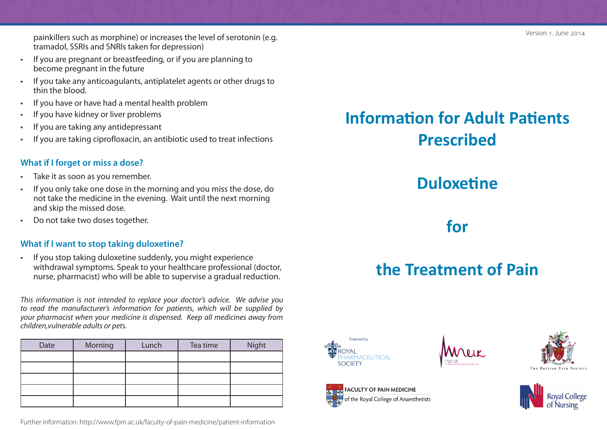painkillers such as morphine) or increases the level of serotonin (e.g. tramadol, SSRIs and SNRIs taken for depression)

- If you are pregnant or breastfeeding, or if you are planning to become pregnant in the future
- If you take any anticoagulants, antiplatelet agents or other drugs to thin the blood.
- If you have or have had a mental health problem
- If you have kidney or liver problems
- If you are taking any antidepressant
- If you are taking ciprofloxacin, an antibiotic used to treat infections

# **What if I forget or miss a dose?**

- Take it as soon as you remember.
- If you only take one dose in the morning and you miss the dose, do not take the medicine in the evening. Wait until the next morning and skip the missed dose.
- Do not take two doses together.

#### **What if I want to stop taking duloxetine?**

• If you stop taking duloxetine suddenly, you might experience withdrawal symptoms. Speak to your healthcare professional (doctor, nurse, pharmacist) who will be able to supervise a gradual reduction.

*This information is not intended to replace your doctor's advice. We advise you to read the manufacturer's information for patients, which will be supplied by your pharmacist when your medicine is dispensed. Keep all medicines away from children,vulnerable adults or pets.*

| Date | Morning | Lunch | Tea time | Night |
|------|---------|-------|----------|-------|
|      |         |       |          |       |
|      |         |       |          |       |
|      |         |       |          |       |
|      |         |       |          |       |
|      |         |       |          |       |

Further information: http://www.fpm.ac.uk/faculty-of-pain-medicine/patient-information

# **Information for Adult Patients Prescribed**

# **Duloxetine**

**for**

# **the Treatment of Pain**







Roval College